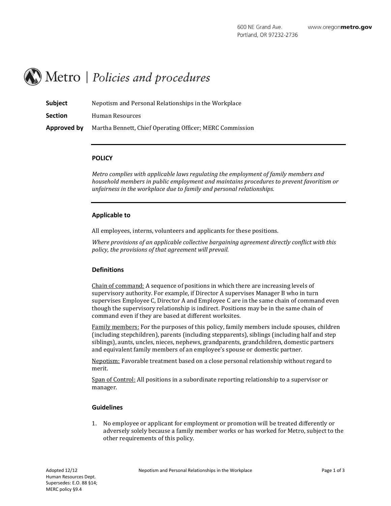# Metro | Policies and procedures

| Subject        | Nepotism and Personal Relationships in the Workplace     |
|----------------|----------------------------------------------------------|
| <b>Section</b> | Human Resources                                          |
| Approved by    | Martha Bennett, Chief Operating Officer; MERC Commission |

#### **POLICY**

*Metro complies with applicable laws regulating the employment of family members and household members in public employment and maintains procedures to prevent favoritism or unfairness in the workplace due to family and personal relationships.*

#### **Applicable to**

All employees, interns, volunteers and applicants for these positions.

*Where provisions of an applicable collective bargaining agreement directly conflict with this policy, the provisions of that agreement will prevail.*

## **Definitions**

Chain of command: A sequence of positions in which there are increasing levels of supervisory authority. For example, if Director A supervises Manager B who in turn supervises Employee C, Director A and Employee C are in the same chain of command even though the supervisory relationship is indirect. Positions may be in the same chain of command even if they are based at different worksites.

Family members: For the purposes of this policy, family members include spouses, children (including stepchildren), parents (including stepparents), siblings (including half and step siblings), aunts, uncles, nieces, nephews, grandparents, grandchildren, domestic partners and equivalent family members of an employee's spouse or domestic partner.

Nepotism: Favorable treatment based on a close personal relationship without regard to merit.

Span of Control: All positions in a subordinate reporting relationship to a supervisor or manager.

## **Guidelines**

1. No employee or applicant for employment or promotion will be treated differently or adversely solely because a family member works or has worked for Metro, subject to the other requirements of this policy.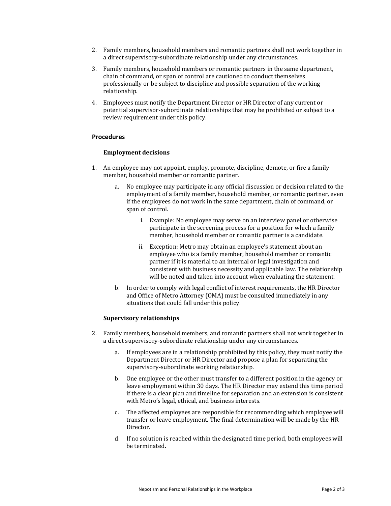- 2. Family members, household members and romantic partners shall not work together in a direct supervisory-subordinate relationship under any circumstances.
- 3. Family members, household members or romantic partners in the same department, chain of command, or span of control are cautioned to conduct themselves professionally or be subject to discipline and possible separation of the working relationship.
- 4. Employees must notify the Department Director or HR Director of any current or potential supervisor-subordinate relationships that may be prohibited or subject to a review requirement under this policy.

## **Procedures**

## **Employment decisions**

- 1. An employee may not appoint, employ, promote, discipline, demote, or fire a family member, household member or romantic partner.
	- a. No employee may participate in any official discussion or decision related to the employment of a family member, household member, or romantic partner, even if the employees do not work in the same department, chain of command, or span of control.
		- i. Example: No employee may serve on an interview panel or otherwise participate in the screening process for a position for which a family member, household member or romantic partner is a candidate.
		- ii. Exception: Metro may obtain an employee's statement about an employee who is a family member, household member or romantic partner if it is material to an internal or legal investigation and consistent with business necessity and applicable law. The relationship will be noted and taken into account when evaluating the statement.
	- b. In order to comply with legal conflict of interest requirements, the HR Director and Office of Metro Attorney (OMA) must be consulted immediately in any situations that could fall under this policy.

## **Supervisory relationships**

- 2. Family members, household members, and romantic partners shall not work together in a direct supervisory-subordinate relationship under any circumstances.
	- a. If employees are in a relationship prohibited by this policy, they must notify the Department Director or HR Director and propose a plan for separating the supervisory-subordinate working relationship.
	- b. One employee or the other must transfer to a different position in the agency or leave employment within 30 days. The HR Director may extend this time period if there is a clear plan and timeline for separation and an extension is consistent with Metro's legal, ethical, and business interests.
	- c. The affected employees are responsible for recommending which employee will transfer or leave employment. The final determination will be made by the HR Director.
	- d. If no solution is reached within the designated time period, both employees will be terminated.